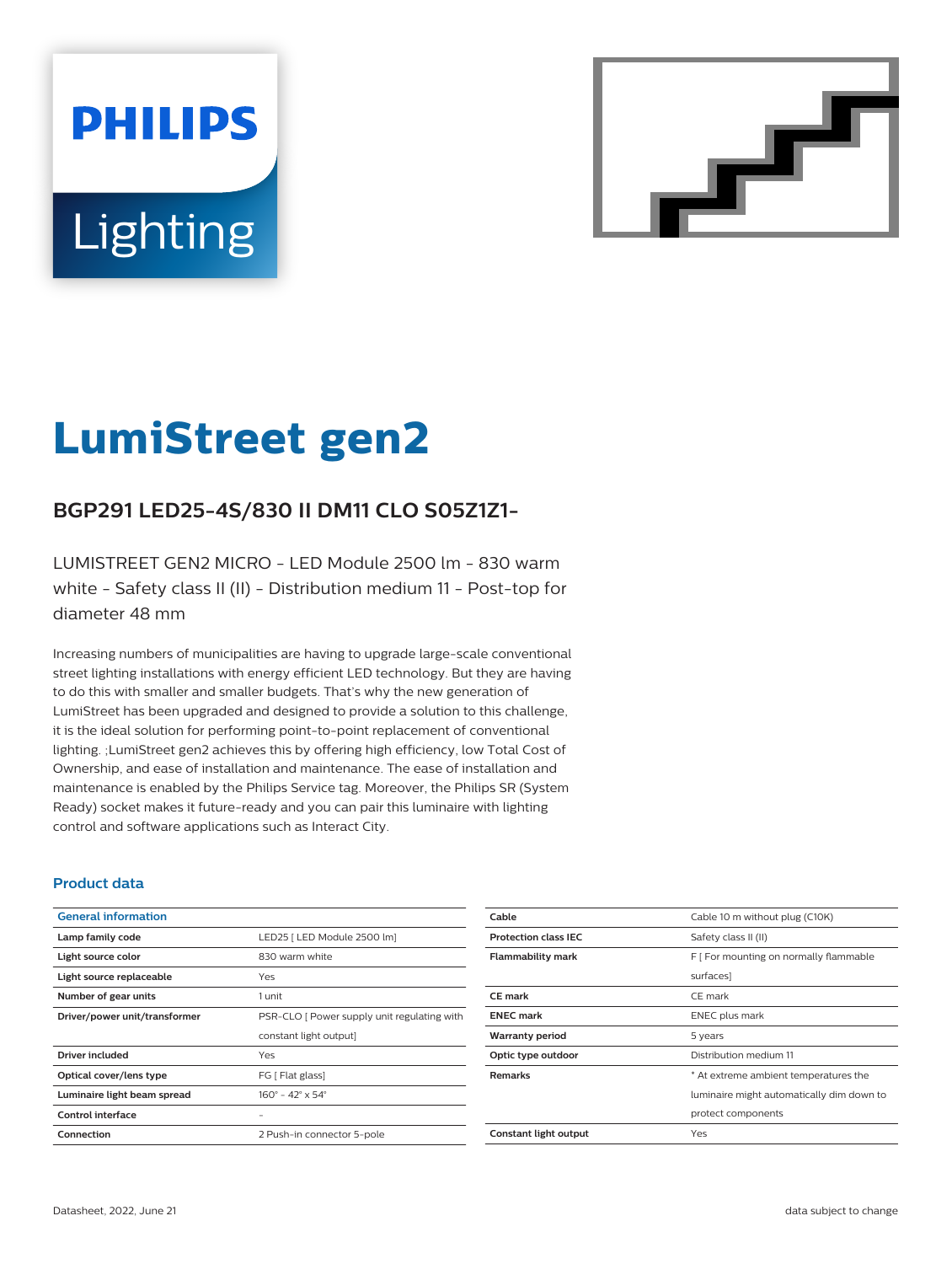# **PHILIPS Lighting**



# **LumiStreet gen2**

# **BGP291 LED25-4S/830 II DM11 CLO S05Z1Z1-**

LUMISTREET GEN2 MICRO - LED Module 2500 lm - 830 warm white - Safety class II (II) - Distribution medium 11 - Post-top for diameter 48 mm

Increasing numbers of municipalities are having to upgrade large-scale conventional street lighting installations with energy efficient LED technology. But they are having to do this with smaller and smaller budgets. That's why the new generation of LumiStreet has been upgraded and designed to provide a solution to this challenge, it is the ideal solution for performing point-to-point replacement of conventional lighting. ;LumiStreet gen2 achieves this by offering high efficiency, low Total Cost of Ownership, and ease of installation and maintenance. The ease of installation and maintenance is enabled by the Philips Service tag. Moreover, the Philips SR (System Ready) socket makes it future-ready and you can pair this luminaire with lighting control and software applications such as Interact City.

#### **Product data**

| <b>General information</b>    |                                             |  |
|-------------------------------|---------------------------------------------|--|
| Lamp family code              | LED25   LED Module 2500 lm]                 |  |
| Light source color            | 830 warm white                              |  |
| Light source replaceable      | Yes                                         |  |
| Number of gear units          | 1 unit                                      |  |
| Driver/power unit/transformer | PSR-CLO [ Power supply unit regulating with |  |
|                               |                                             |  |
|                               | constant light output]                      |  |
| Driver included               | Yes                                         |  |
| Optical cover/lens type       | FG [ Flat glass]                            |  |
| Luminaire light beam spread   | $160^{\circ}$ – 42° x 54°                   |  |
| Control interface             |                                             |  |
| Connection                    | 2 Push-in connector 5-pole                  |  |

| Cable                       | Cable 10 m without plug (C10K)            |  |
|-----------------------------|-------------------------------------------|--|
| <b>Protection class IEC</b> | Safety class II (II)                      |  |
| <b>Flammability mark</b>    | F [ For mounting on normally flammable    |  |
|                             | surfaces]                                 |  |
| <b>CE</b> mark              | CE mark                                   |  |
| <b>ENEC mark</b>            | <b>ENEC</b> plus mark                     |  |
| <b>Warranty period</b>      | 5 years                                   |  |
| Optic type outdoor          | Distribution medium 11                    |  |
| <b>Remarks</b>              | * At extreme ambient temperatures the     |  |
|                             | luminaire might automatically dim down to |  |
|                             | protect components                        |  |
| Constant light output       | Yes                                       |  |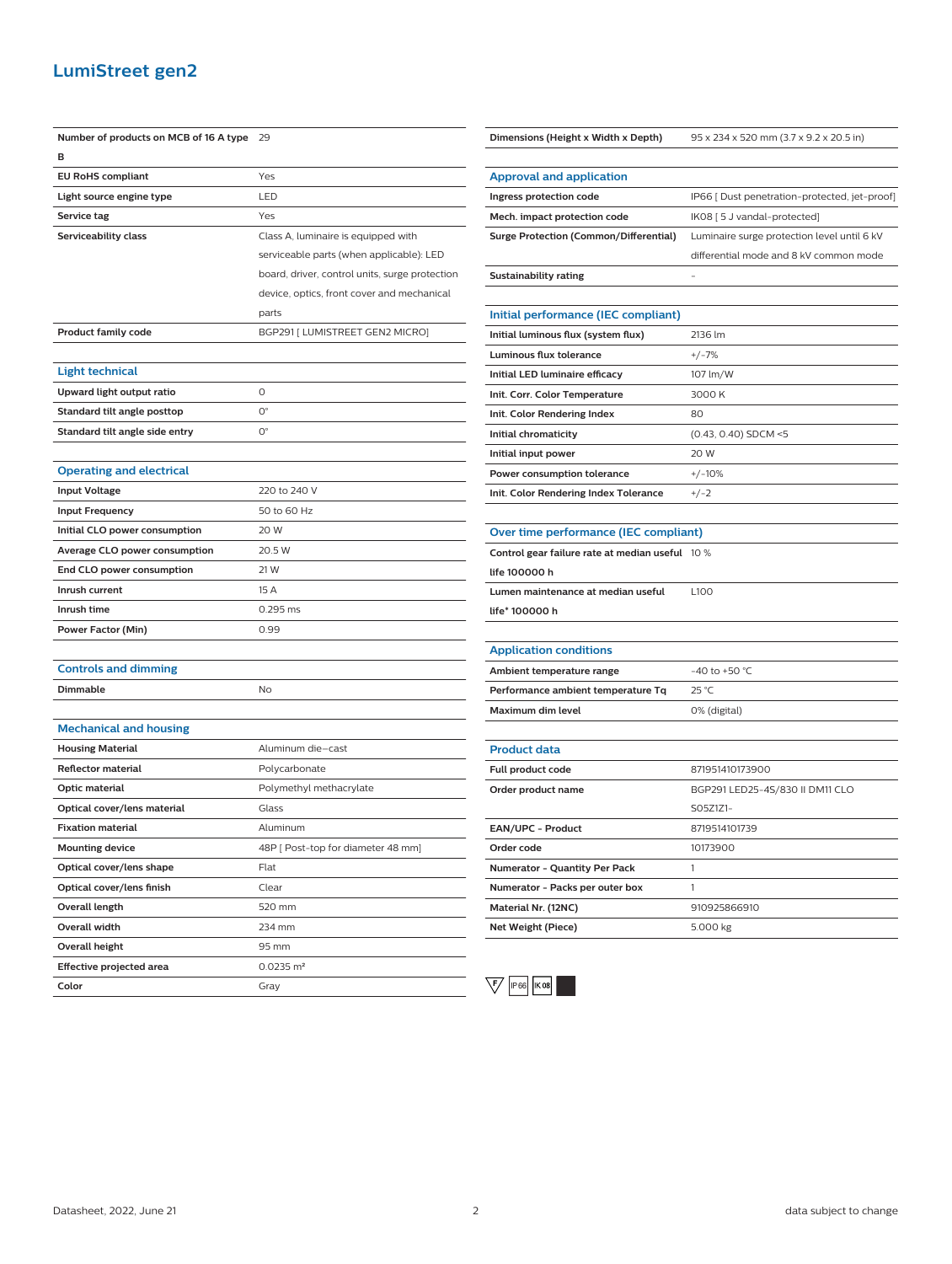### **LumiStreet gen2**

| Number of products on MCB of 16 A type 29 |                                                | Dimensions (Height x Width x Depth)             | 95 x 234 x 520 mm (3.7 x 9.2 x 20.5 in)       |
|-------------------------------------------|------------------------------------------------|-------------------------------------------------|-----------------------------------------------|
| в                                         |                                                |                                                 |                                               |
| <b>EU RoHS compliant</b>                  | Yes                                            | <b>Approval and application</b>                 |                                               |
| Light source engine type                  | LED                                            | Ingress protection code                         | IP66 [ Dust penetration-protected, jet-proof] |
| Service tag                               | Yes                                            | Mech. impact protection code                    | IK08 [ 5 J vandal-protected]                  |
| Serviceability class                      | Class A, luminaire is equipped with            | <b>Surge Protection (Common/Differential)</b>   | Luminaire surge protection level until 6 kV   |
|                                           | serviceable parts (when applicable): LED       |                                                 | differential mode and 8 kV common mode        |
|                                           | board, driver, control units, surge protection | <b>Sustainability rating</b>                    |                                               |
|                                           | device, optics, front cover and mechanical     |                                                 |                                               |
|                                           | parts                                          | Initial performance (IEC compliant)             |                                               |
| <b>Product family code</b>                | BGP291 [ LUMISTREET GEN2 MICRO]                | Initial luminous flux (system flux)             | 2136 lm                                       |
|                                           |                                                | Luminous flux tolerance                         | $+/-7%$                                       |
| <b>Light technical</b>                    |                                                | Initial LED luminaire efficacy                  | 107 lm/W                                      |
| Upward light output ratio                 | $\circ$                                        | Init. Corr. Color Temperature                   | 3000 K                                        |
| Standard tilt angle posttop               | $O^{\circ}$                                    | Init. Color Rendering Index                     | 80                                            |
| Standard tilt angle side entry            | $\mathsf{O}^\circ$                             | Initial chromaticity                            | (0.43, 0.40) SDCM <5                          |
|                                           |                                                | Initial input power                             | 20 W                                          |
| <b>Operating and electrical</b>           |                                                | Power consumption tolerance                     | $+/-10%$                                      |
| <b>Input Voltage</b>                      | 220 to 240 V                                   | Init. Color Rendering Index Tolerance           | $+/-2$                                        |
| <b>Input Frequency</b>                    | 50 to 60 Hz                                    |                                                 |                                               |
| Initial CLO power consumption             | 20 W                                           | Over time performance (IEC compliant)           |                                               |
| Average CLO power consumption             | 20.5 W                                         | Control gear failure rate at median useful 10 % |                                               |
| End CLO power consumption                 | 21 W                                           | life 100000 h                                   |                                               |
| Inrush current                            | 15 A                                           | Lumen maintenance at median useful              | L100                                          |
| Inrush time                               | 0.295 ms                                       | life* 100000 h                                  |                                               |
| Power Factor (Min)                        | 0.99                                           |                                                 |                                               |
|                                           |                                                | <b>Application conditions</b>                   |                                               |
| <b>Controls and dimming</b>               |                                                | Ambient temperature range                       | -40 to +50 $^{\circ}$ C                       |
| Dimmable                                  | No                                             | Performance ambient temperature Tq              | 25 °C                                         |
|                                           |                                                | Maximum dim level                               | 0% (digital)                                  |
| <b>Mechanical and housing</b>             |                                                |                                                 |                                               |
| <b>Housing Material</b>                   | Aluminum die-cast                              | <b>Product data</b>                             |                                               |
| <b>Reflector material</b>                 | Polycarbonate                                  | Full product code                               | 871951410173900                               |
| Optic material                            | Polymethyl methacrylate                        | Order product name                              | BGP291 LED25-4S/830 II DM11 CLO               |
| Optical cover/lens material               | Glass                                          |                                                 | S05Z1Z1-                                      |
| <b>Fixation material</b>                  | Aluminum                                       | EAN/UPC - Product                               | 8719514101739                                 |
| <b>Mounting device</b>                    | 48P [ Post-top for diameter 48 mm]             | Order code                                      | 10173900                                      |
| Optical cover/lens shape                  | Flat                                           | Numerator - Quantity Per Pack                   | $\mathbf{1}$                                  |
| Optical cover/lens finish                 | Clear                                          | Numerator - Packs per outer box                 | $\mathbf{1}$                                  |
| Overall length                            | 520 mm                                         | Material Nr. (12NC)                             | 910925866910                                  |
| Overall width                             | 234 mm                                         | <b>Net Weight (Piece)</b>                       | 5.000 kg                                      |
| Overall height                            | 95 mm                                          |                                                 |                                               |
| Effective projected area                  | $0.0235 \text{ m}^2$                           |                                                 |                                               |
| Color                                     | Gray                                           | $\sqrt{5}$<br>IP 66   K 08                      |                                               |